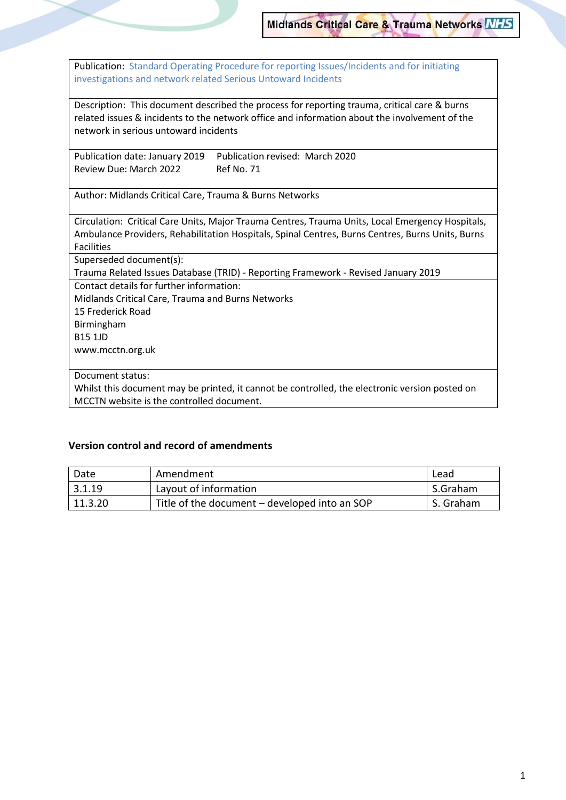Publication: Standard Operating Procedure for reporting Issues/Incidents and for initiating investigations and network related Serious Untoward Incidents

Description: This document described the process for reporting trauma, critical care & burns related issues & incidents to the network office and information about the involvement of the network in serious untoward incidents

Publication date: January 2019 Publication revised: March 2020 Review Due: March 2022 Ref No. 71

Author: Midlands Critical Care, Trauma & Burns Networks

Circulation: Critical Care Units, Major Trauma Centres, Trauma Units, Local Emergency Hospitals, Ambulance Providers, Rehabilitation Hospitals, Spinal Centres, Burns Centres, Burns Units, Burns Facilities

Superseded document(s):

Trauma Related Issues Database (TRID) - Reporting Framework - Revised January 2019 Contact details for further information:

Midlands Critical Care, Trauma and Burns Networks

- 15 Frederick Road
- Birmingham

B15 1JD

www.mcctn.org.uk

Document status:

Whilst this document may be printed, it cannot be controlled, the electronic version posted on MCCTN website is the controlled document.

#### **Version control and record of amendments**

| Date    | Amendment                                     | Lead      |
|---------|-----------------------------------------------|-----------|
| 3.1.19  | Layout of information                         | S.Graham  |
| 11.3.20 | Title of the document - developed into an SOP | S. Graham |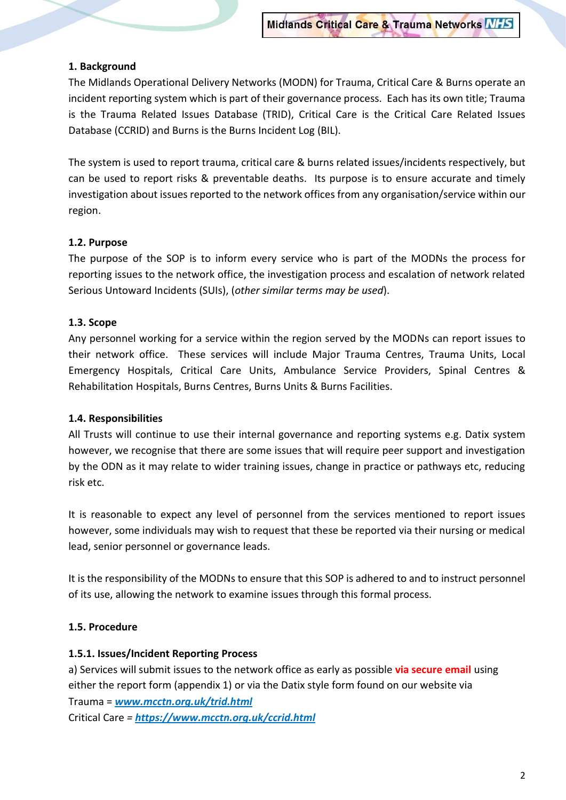## **1. Background**

The Midlands Operational Delivery Networks (MODN) for Trauma, Critical Care & Burns operate an incident reporting system which is part of their governance process. Each has its own title; Trauma is the Trauma Related Issues Database (TRID), Critical Care is the Critical Care Related Issues Database (CCRID) and Burns is the Burns Incident Log (BIL).

The system is used to report trauma, critical care & burns related issues/incidents respectively, but can be used to report risks & preventable deaths. Its purpose is to ensure accurate and timely investigation about issues reported to the network offices from any organisation/service within our region.

## **1.2. Purpose**

The purpose of the SOP is to inform every service who is part of the MODNs the process for reporting issues to the network office, the investigation process and escalation of network related Serious Untoward Incidents (SUIs), (*other similar terms may be used*).

## **1.3. Scope**

Any personnel working for a service within the region served by the MODNs can report issues to their network office. These services will include Major Trauma Centres, Trauma Units, Local Emergency Hospitals, Critical Care Units, Ambulance Service Providers, Spinal Centres & Rehabilitation Hospitals, Burns Centres, Burns Units & Burns Facilities.

## **1.4. Responsibilities**

All Trusts will continue to use their internal governance and reporting systems e.g. Datix system however, we recognise that there are some issues that will require peer support and investigation by the ODN as it may relate to wider training issues, change in practice or pathways etc, reducing risk etc.

It is reasonable to expect any level of personnel from the services mentioned to report issues however, some individuals may wish to request that these be reported via their nursing or medical lead, senior personnel or governance leads.

It is the responsibility of the MODNs to ensure that this SOP is adhered to and to instruct personnel of its use, allowing the network to examine issues through this formal process.

## **1.5. Procedure**

## **1.5.1. Issues/Incident Reporting Process**

a) Services will submit issues to the network office as early as possible **via secure email** using either the report form (appendix 1) or via the Datix style form found on our website via Trauma = *[www.mcctn.org.uk/trid.html](http://www.mcctn.org.uk/trid.html)* Critical Care *= <https://www.mcctn.org.uk/ccrid.html>*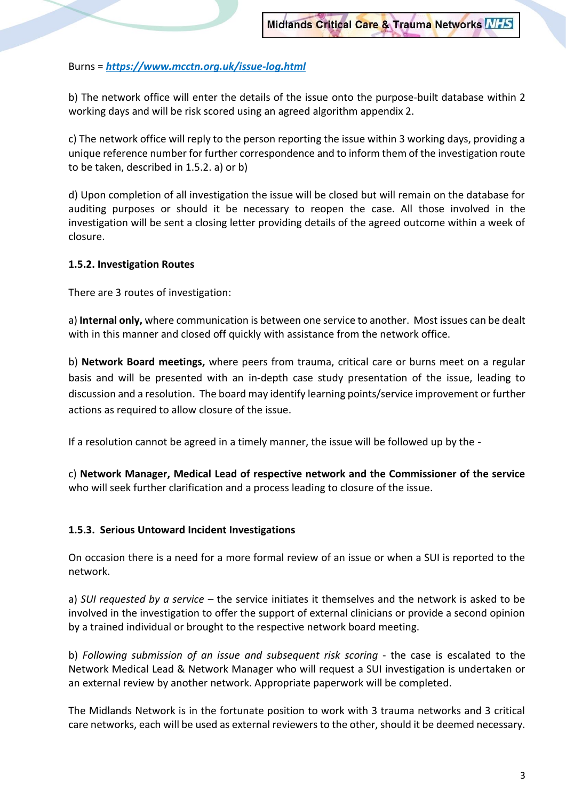## Burns = *<https://www.mcctn.org.uk/issue-log.html>*

b) The network office will enter the details of the issue onto the purpose-built database within 2 working days and will be risk scored using an agreed algorithm appendix 2.

c) The network office will reply to the person reporting the issue within 3 working days, providing a unique reference number for further correspondence and to inform them of the investigation route to be taken, described in 1.5.2. a) or b)

d) Upon completion of all investigation the issue will be closed but will remain on the database for auditing purposes or should it be necessary to reopen the case. All those involved in the investigation will be sent a closing letter providing details of the agreed outcome within a week of closure.

## **1.5.2. Investigation Routes**

There are 3 routes of investigation:

a) **Internal only,** where communication is between one service to another. Most issues can be dealt with in this manner and closed off quickly with assistance from the network office.

b) **Network Board meetings,** where peers from trauma, critical care or burns meet on a regular basis and will be presented with an in-depth case study presentation of the issue, leading to discussion and a resolution. The board may identify learning points/service improvement or further actions as required to allow closure of the issue.

If a resolution cannot be agreed in a timely manner, the issue will be followed up by the -

c) **Network Manager, Medical Lead of respective network and the Commissioner of the service**  who will seek further clarification and a process leading to closure of the issue.

## **1.5.3. Serious Untoward Incident Investigations**

On occasion there is a need for a more formal review of an issue or when a SUI is reported to the network.

a) *SUI requested by a service –* the service initiates it themselves and the network is asked to be involved in the investigation to offer the support of external clinicians or provide a second opinion by a trained individual or brought to the respective network board meeting.

b) *Following submission of an issue and subsequent risk scoring* - the case is escalated to the Network Medical Lead & Network Manager who will request a SUI investigation is undertaken or an external review by another network. Appropriate paperwork will be completed.

The Midlands Network is in the fortunate position to work with 3 trauma networks and 3 critical care networks, each will be used as external reviewers to the other, should it be deemed necessary.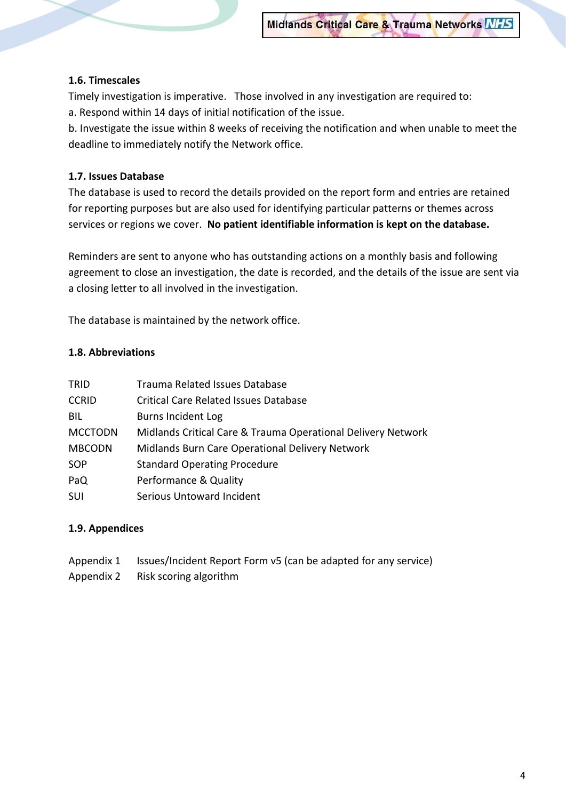## **1.6. Timescales**

Timely investigation is imperative. Those involved in any investigation are required to: a. Respond within 14 days of initial notification of the issue.

b. Investigate the issue within 8 weeks of receiving the notification and when unable to meet the deadline to immediately notify the Network office.

## **1.7. Issues Database**

The database is used to record the details provided on the report form and entries are retained for reporting purposes but are also used for identifying particular patterns or themes across services or regions we cover. **No patient identifiable information is kept on the database.** 

Reminders are sent to anyone who has outstanding actions on a monthly basis and following agreement to close an investigation, the date is recorded, and the details of the issue are sent via a closing letter to all involved in the investigation.

The database is maintained by the network office.

### **1.8. Abbreviations**

| <b>TRID</b>    | Trauma Related Issues Database                               |
|----------------|--------------------------------------------------------------|
| <b>CCRID</b>   | <b>Critical Care Related Issues Database</b>                 |
| BIL.           | <b>Burns Incident Log</b>                                    |
| <b>MCCTODN</b> | Midlands Critical Care & Trauma Operational Delivery Network |
| <b>MBCODN</b>  | Midlands Burn Care Operational Delivery Network              |
| SOP            | <b>Standard Operating Procedure</b>                          |
| PaQ            | Performance & Quality                                        |
| <b>SUI</b>     | Serious Untoward Incident                                    |

#### **1.9. Appendices**

Appendix 1 Issues/Incident Report Form v5 (can be adapted for any service)

Appendix 2 Risk scoring algorithm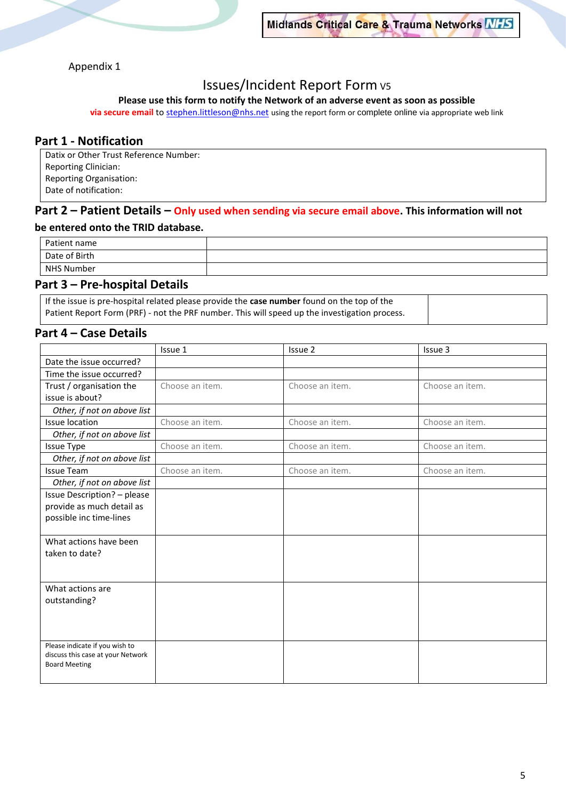Appendix 1

## Issues/Incident Report Form V5

#### **Please use this form to notify the Network of an adverse event as soon as possible**

**via secure email** to [stephen.littleson@nhs.net](mailto:stephen.littleson@nhs.net) using the report form or complete online via appropriate web link

## **Part 1 - Notification**

Datix or Other Trust Reference Number: Reporting Clinician: Reporting Organisation: Date of notification:

# **Part 2 – Patient Details – Only used when sending via secure email above. This information will not**

#### **be entered onto the TRID database.**

| The control hotel below<br>. <b>.</b> |  |
|---------------------------------------|--|
| NHS Number                            |  |
| Date of Birth                         |  |
| Patient name                          |  |

#### **Part 3 – Pre-hospital Details**

If the issue is pre-hospital related please provide the **case number** found on the top of the Patient Report Form (PRF) - not the PRF number. This will speed up the investigation process.

### **Part 4 – Case Details**

|                                   | Issue 1         | Issue 2         | Issue 3         |
|-----------------------------------|-----------------|-----------------|-----------------|
| Date the issue occurred?          |                 |                 |                 |
| Time the issue occurred?          |                 |                 |                 |
| Trust / organisation the          | Choose an item. | Choose an item. | Choose an item. |
| issue is about?                   |                 |                 |                 |
| Other, if not on above list       |                 |                 |                 |
| <b>Issue location</b>             | Choose an item. | Choose an item. | Choose an item. |
| Other, if not on above list       |                 |                 |                 |
| <b>Issue Type</b>                 | Choose an item. | Choose an item. | Choose an item. |
| Other, if not on above list       |                 |                 |                 |
| <b>Issue Team</b>                 | Choose an item. | Choose an item. | Choose an item. |
| Other, if not on above list       |                 |                 |                 |
| Issue Description? - please       |                 |                 |                 |
| provide as much detail as         |                 |                 |                 |
| possible inc time-lines           |                 |                 |                 |
|                                   |                 |                 |                 |
| What actions have been            |                 |                 |                 |
| taken to date?                    |                 |                 |                 |
|                                   |                 |                 |                 |
|                                   |                 |                 |                 |
| What actions are                  |                 |                 |                 |
| outstanding?                      |                 |                 |                 |
|                                   |                 |                 |                 |
|                                   |                 |                 |                 |
| Please indicate if you wish to    |                 |                 |                 |
| discuss this case at your Network |                 |                 |                 |
| <b>Board Meeting</b>              |                 |                 |                 |
|                                   |                 |                 |                 |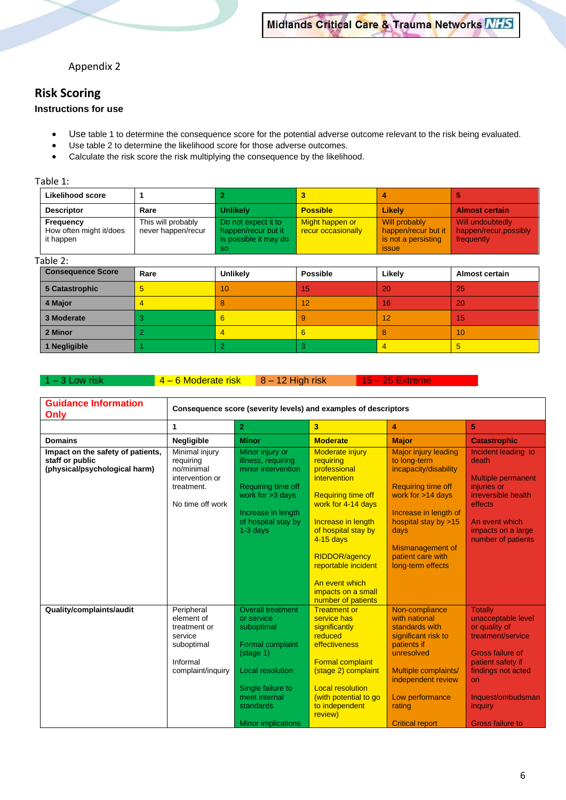## Appendix 2

## **Risk Scoring**

## **Instructions for use**

- Use table 1 to determine the consequence score for the potential adverse outcome relevant to the risk being evaluated.
- Use table 2 to determine the likelihood score for those adverse outcomes.
- Calculate the risk score the risk multiplying the consequence by the likelihood.

#### Table 1:

| Unlikely<br><b>Descriptor</b><br>Likely<br><b>Possible</b><br>Rare<br>Might happen or<br>Will probably<br>This will probably<br>Do not expect it to<br>Frequency<br>happen/recur but it<br>How often might it/does<br>happen/recur but it<br>recur occasionally<br>never happen/recur | Likelihood score |                       |                     |                                                         |
|---------------------------------------------------------------------------------------------------------------------------------------------------------------------------------------------------------------------------------------------------------------------------------------|------------------|-----------------------|---------------------|---------------------------------------------------------|
|                                                                                                                                                                                                                                                                                       |                  |                       |                     | <b>Almost certain</b>                                   |
| issue<br>-SO                                                                                                                                                                                                                                                                          | it happen        | is possible it may do | is not a persisting | Will undoubtedly<br>happen/recur.possibly<br>frequently |

#### Table 2:

| .                        |      |                 |                 |        |                |
|--------------------------|------|-----------------|-----------------|--------|----------------|
| <b>Consequence Score</b> | Rare | <b>Unlikely</b> | <b>Possible</b> | Likely | Almost certain |
| 5 Catastrophic           |      | 10              | 15              | 20     | 25             |
| 4 Major                  |      |                 | 12              | 16     | 20             |
| 3 Moderate               |      | 6               |                 | 12     | 15             |
| 2 Minor                  |      | 4               | 6               |        | 10             |
| 1 Negligible             |      |                 |                 |        |                |

1 – 3 Low risk  $\overline{4 - 6}$  Moderate risk  $\overline{8 - 12}$  High risk  $\overline{15 - 25}$  Extreme

| <b>Guidance Information</b><br>Only                                                   | Consequence score (severity levels) and examples of descriptors                                    |                                                                                                                                                                                                     |                                                                                                                                                                                                                                                                                                 |                                                                                                                                                                                                                                                      |                                                                                                                                                                                                                    |
|---------------------------------------------------------------------------------------|----------------------------------------------------------------------------------------------------|-----------------------------------------------------------------------------------------------------------------------------------------------------------------------------------------------------|-------------------------------------------------------------------------------------------------------------------------------------------------------------------------------------------------------------------------------------------------------------------------------------------------|------------------------------------------------------------------------------------------------------------------------------------------------------------------------------------------------------------------------------------------------------|--------------------------------------------------------------------------------------------------------------------------------------------------------------------------------------------------------------------|
|                                                                                       | $\mathbf{1}$                                                                                       | $\overline{2}$                                                                                                                                                                                      | $\overline{\mathbf{3}}$                                                                                                                                                                                                                                                                         | 4                                                                                                                                                                                                                                                    | 5                                                                                                                                                                                                                  |
| <b>Domains</b>                                                                        | Negligible                                                                                         | <b>Minor</b>                                                                                                                                                                                        | <b>Moderate</b>                                                                                                                                                                                                                                                                                 | <b>Major</b>                                                                                                                                                                                                                                         | <b>Catastrophic</b>                                                                                                                                                                                                |
| Impact on the safety of patients,<br>staff or public<br>(physical/psychological harm) | Minimal injury<br>requiring<br>no/minimal<br>intervention or<br>treatment.<br>No time off work     | Minor injury or<br>illness, requiring<br>minor intervention<br>Requiring time off<br>work for $>3$ days<br>Increase in length<br>of hospital stay by<br>$1-3$ days                                  | <b>Moderate injury</b><br>requiring<br>professional<br>intervention<br><b>Requiring time off</b><br>work for 4-14 days<br>Increase in length<br>of hospital stay by<br>$4-15$ davs<br><b>RIDDOR/agency</b><br>reportable incident<br>An event which<br>impacts on a small<br>number of patients | <b>Major injury leading</b><br>to long-term<br>incapacity/disability<br><b>Requiring time off</b><br>work for >14 days<br>Increase in length of<br>hospital stay by >15<br>days<br><b>Mismanagement of</b><br>patient care with<br>long-term effects | Incident leading to<br>death<br><b>Multiple permanent</b><br>injuries or<br><i>irreversible</i> health<br>effects<br>An event which<br>impacts on a large<br>number of patients                                    |
| Quality/complaints/audit                                                              | Peripheral<br>element of<br>treatment or<br>service<br>suboptimal<br>Informal<br>complaint/inquiry | <b>Overall treatment</b><br>or service<br>suboptimal<br>Formal complaint<br>$(\text{stage } 1)$<br>Local resolution<br>Single failure to<br>meet internal<br>standards<br><b>Minor implications</b> | <b>Treatment or</b><br>service has<br>significantly<br>reduced<br>effectiveness<br><b>Formal complaint</b><br>(stage 2) complaint<br><b>Local resolution</b><br>(with potential to go<br>to independent<br>review)                                                                              | Non-compliance<br>with national<br>standards with<br>significant risk to<br>patients if<br>unresolved<br>Multiple complaints/<br>independent review<br>Low performance<br>rating<br><b>Critical report</b>                                           | <b>Totally</b><br>unacceptable level<br>or quality of<br>treatment/service<br><b>Gross failure of</b><br>patient safety if<br>findings not acted<br>on.<br>Inquest/ombudsman<br>inquiry<br><b>Gross failure to</b> |